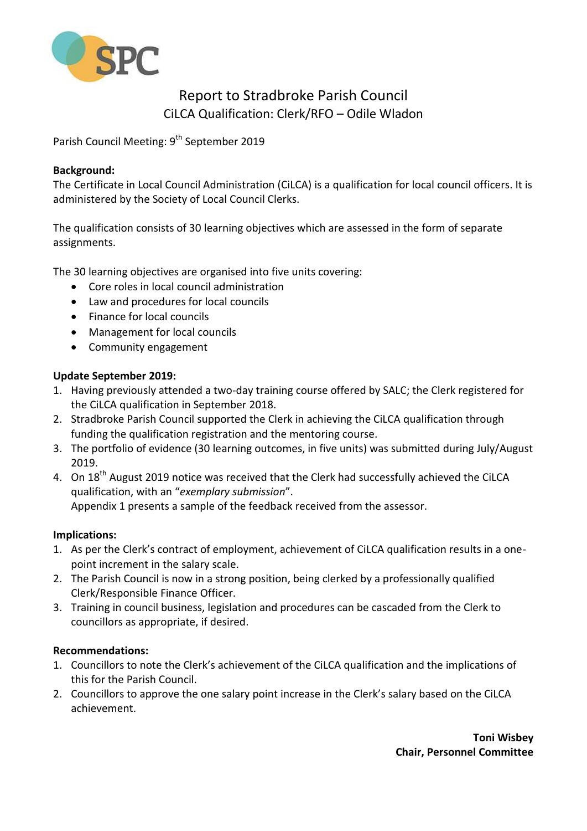

# Report to Stradbroke Parish Council CiLCA Qualification: Clerk/RFO – Odile Wladon

Parish Council Meeting: 9<sup>th</sup> September 2019

# **Background:**

The Certificate in Local Council Administration (CiLCA) is a qualification for local council officers. It is administered by the Society of Local Council Clerks.

The qualification consists of 30 learning objectives which are assessed in the form of separate assignments.

The 30 learning objectives are organised into five units covering:

- Core roles in local council administration
- Law and procedures for local councils
- Finance for local councils
- Management for local councils
- Community engagement

# **Update September 2019:**

- 1. Having previously attended a two-day training course offered by SALC; the Clerk registered for the CiLCA qualification in September 2018.
- 2. Stradbroke Parish Council supported the Clerk in achieving the CiLCA qualification through funding the qualification registration and the mentoring course.
- 3. The portfolio of evidence (30 learning outcomes, in five units) was submitted during July/August 2019.
- 4. On 18<sup>th</sup> August 2019 notice was received that the Clerk had successfully achieved the CiLCA qualification, with an "*exemplary submission*". Appendix 1 presents a sample of the feedback received from the assessor.

# **Implications:**

- 1. As per the Clerk's contract of employment, achievement of CiLCA qualification results in a onepoint increment in the salary scale.
- 2. The Parish Council is now in a strong position, being clerked by a professionally qualified Clerk/Responsible Finance Officer.
- 3. Training in council business, legislation and procedures can be cascaded from the Clerk to councillors as appropriate, if desired.

# **Recommendations:**

- 1. Councillors to note the Clerk's achievement of the CiLCA qualification and the implications of this for the Parish Council.
- 2. Councillors to approve the one salary point increase in the Clerk's salary based on the CiLCA achievement.